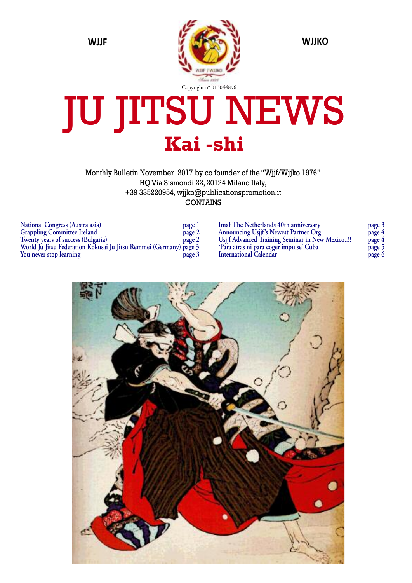

# JU JITSU NEWS **Kai -shi**

Monthly Bulletin November 2017 by co founder of the "Wjjf/Wjjko 1976" HQ Via Sismondi 22, 20124 Milano Italy, +39 335220954, wjjko@publicationspromotion.it CONTAINS

| <b>National Congress (Australasia)</b>                             | page 1 |
|--------------------------------------------------------------------|--------|
| <b>Grappling Committee Ireland</b>                                 | page 2 |
| Twenty years of success (Bulgaria)                                 | page 2 |
| World Ju Jitsu Federation Kokusai Ju Jitsu Remmei (Germany) page 3 |        |
| You never stop learning                                            | page 3 |

**Imaf The Netherlands 40th anniversary page 3 Announcing Usjjf's Newest Partner Org page 4 Usjjf Advanced Training Seminar in New Mexico..!! page 4 'Para atras ni para coger impulse' Cuba page 5 International Calendar page 6**

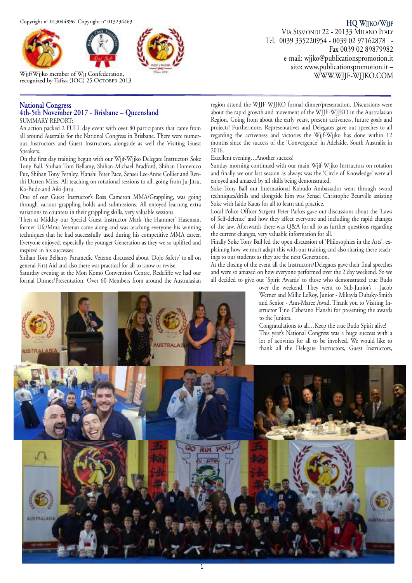



Wjjf/Wjjko member of Wjj Confederation, recognized by Tafisa (IOC) 25 OCTOBER 2013

#### **National Congress 4th-5th November 2017 - Brisbane – Queensland**

SUMMARY REPORT:

An action packed 2 FULL day event with over 80 participants that came from all around Australia for the National Congress in Brisbane. There were numerous Instructors and Guest Instructors, alongside as well the Visiting Guest Speakers.

On the first day training begun with our Wjjf-Wjjko Delegate Instructors Soke Tony Ball, Shihan Tom Bellamy, Shihan Michael Bradford, Shihan Domenico Puz, Shihan Tony Fernley, Hanshi Peter Pace, Sensei Lee-Anne Collier and Renshi Darren Miles. All teaching on rotational sessions to all, going from Ju-Jitsu, Ko-Budo and Aiki-Jitsu.

One of our Guest Instructor's Ross Cameron MMA/Grappling, was going through various grappling holds and submissions. All enjoyed learning extra variations to counters in their grappling skills, very valuable sessions.

Then at Midday our Special Guest Instructor Mark 'the Hammer' Haseman, former Ufc/Mma Veteran came along and was teaching everyone his winning techniques that he had successfully used during his competitive MMA career. Everyone enjoyed, especially the younger Generation as they we so uplifted and inspired in his successes.

Shihan Tom Bellamy Paramedic Veteran discussed about 'Dojo Safety' to all on general First Aid and also there was practical for all to know or revise.

Saturday evening at the Mon Komo Convention Centre, Redcliffe we had our formal Dinner/Presentation. Over 60 Members from around the Australasian

**HQ WJJKO/WJJF** VIA SISMONDI 22 - 20133 MILANO ITALY Tel. 0039 335220954 - 0039 02 97162878 - Fax 0039 02 89879982 e-mail: wjjko@publicationspromotion.it sito: www.publicationspromotion.it – WWW.WJJF-WJJKO.COM

region attend the WJJF-WJJKO formal dinner/presentation. Discussions were about the rapid growth and movement of the WJJF-WJJKO in the Australasian Region. Going from about the early years, present activeness, future goals and projects! Furthermore, Representatives and Delegates gave out speeches to all regarding the activeness and victories the Wjjf-Wjjko has done within 12 months since the success of the 'Convergence' in Adelaide, South Australia in 2016.

Excellent evening…Another success!

Sunday morning continued with our main Wjjf-Wjjko Instructors on rotation and finally we our last session as always was the 'Circle of Knowledge' were all enjoyed and amazed by all skills being demonstrated.

Soke Tony Ball our International Kobudo Ambassador went through sword techniques/drills and alongside him was Sensei Christophe Beurville assisting Soke with Iaido Katas for all to learn and practice.

Local Police Officer Sargent Peter Parkes gave out discussions about the 'Laws of Self-defence' and how they affect everyone and including the rapid changes of the law. Afterwards there was Q&A for all to as further questions regarding the current changes, very valuable information for all.

Finally Soke Tony Ball led the open discussion of 'Philosophies in the Arts', explaining how we must adapt this with our training and also sharing these teachings to our students as they are the next Generation.

At the closing of the event all the Instructors/Delegates gave their final speeches and were so amazed on how everyone performed over the 2 day weekend. So we all decided to give out 'Spirit Awards' to those who demonstrated true Budo

over the weekend. They went to Sub-Junior's - Jacob Werner and Millie LeRoy, Junior - Mikayla Dubsky-Smith and Senior - Ann-Maree Awad. Thank you to Visiting Instructor Tino Ceberano Hanshi for presenting the awards to the Juniors.

Congratulations to all…Keep the true Budo Spirit alive! This year's National Congress was a huge success with a lot of activities for all to be involved. We would like to thank all the Delegate Instructors, Guest Instructors,

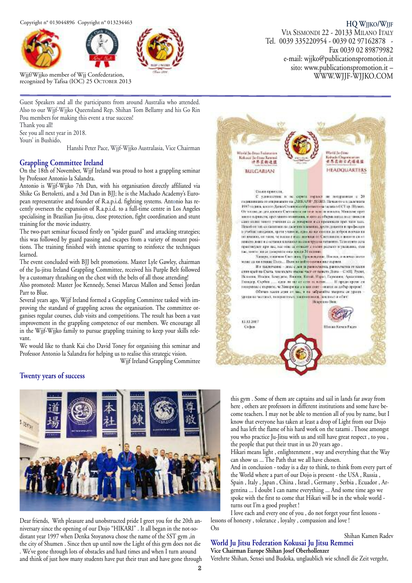



Wjjf/Wjjko member of Wjj Confederation, recognized by Tafisa (IOC) 25 OCTOBER 2013

Guest Speakers and all the participants from around Australia who attended. Also to our Wjjf-Wjjko Queensland Rep. Shihan Tom Bellamy and his Go Rin Pou members for making this event a true success!

Thank you all! See you all next year in 2018.

Yours' in Bushido,

Hanshi Peter Pace, Wjjf-Wjjko Australasia, Vice Chairman

#### **Grappling Committee Ireland**

On the 18th of November, Wjjf Ireland was proud to host a grappling seminar by Professor Antonio la Salandra.

Antonio is Wjjf-Wjjko 7th Dan, with his organisation directly affiliated via Shike Gs Bertoletti, and a 3rd Dan in BJJ; he is the Machado Academy's European representative and founder of R.a.p.i.d. fighting systems. Antonio has recently overseen the expansion of R.a.p.i.d. to a full-time centre in Los Angeles specialising in Brazilian Jiu-jitsu, close protection, fight coordination and stunt training for the movie industry.

The two-part seminar focused firstly on "spider guard" and attacking strategies; this was followed by guard passing and escapes from a variety of mount positions. The training finished with intense sparring to reinforce the techniques learned.

The event concluded with BJJ belt promotions. Master Lyle Gawley, chairman of the Ju-jitsu Ireland Grappling Committee, received his Purple Belt followed by a customary thrashing on the chest with the belts of all those attending!

Also promoted: Master Joe Kennedy, Sensei Marcus Mallon and Sensei Jordan Parr to Blue.

Several years ago, Wjjf Ireland formed a Grappling Committee tasked with improving the standard of grappling across the organisation. The committee organises regular courses, club visits and competitions. The result has been a vast improvement in the grappling competence of our members. We encourage all in the Wjjf-Wjjko family to pursue grappling training to keep your skills relevant.

We would like to thank Kai cho David Toney for organising this seminar and Professor Antonio la Salandra for helping us to realise this strategic vision.

Wjjf Ireland Grappling Committee

### **Twenty years of success**



Dear friends, With pleasure and unobstructed pride I greet you for the 20th anniversary since the opening of our Dojo "HIKARI" . It all began in the not-sodistant year 1997 when Denka Stoyanova chose the name of the SST gym ,in the city of Shumen . Since then up until now the Light of this gym does not die . We've gone through lots of obstacles and hard times and when I turn around and think of just how many students have put their trust and have gone through

#### **HQ WJJKO/WJJF**

VIA SISMONDI 22 - 20133 MILANO ITALY Tel. 0039 335220954 - 0039 02 97162878 - Fax 0039 02 89879982 e-mail: wjjko@publicationspromotion.it sito: www.publicationspromotion.it – WWW.WJJF-WJJKO.COM



this gym . Some of them are captains and sail in lands far away from here , others are professors in different institutions and some have become teachers. I may not be able to mention all of you by name, but I know that everyone has taken at least a drop of Light from our Dojo and has left the flame of his hard work on the tatami . Those amongst you who practice Ju-Jitsu with us and still have great respect , to you , the people that put their trust in us 20 years ago .

Hikari means light , enlightenment , way and everything that the Way can show us ... The Path that we all have chosen.

And in conclusion - today is a day to think, to think from every part of the World where a part of our Dojo is present - the USA , Russia , Spain , Italy , Japan , China , Israel , Germany , Serbia , Ecuador , Argentina ... I doubt I can name everything ... And some time ago we spoke with the first to come that Hikari will be in the whole world turns out I'm a good prophet !

I love each and every one of you , do not forget your first lessons lessons of honesty , tolerance , loyalty , compassion and love ! Oss

#### Shihan Kamen Radev **World Ju Jitsu Federation Kokusai Ju Jitsu Remmei Vice Chairman Europe Shihan Josef Oberhollenzer**

Verehrte Shihan, Sensei und Budoka, unglaublich wie schnell die Zeit vergeht,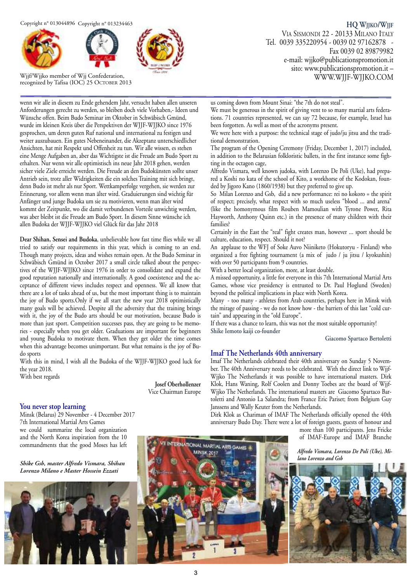



Wjjf/Wjjko member of Wjj Confederation, recognized by Tafisa (IOC) 25 OCTOBER 2013

**HQ WJJKO/WJJF** VIA SISMONDI 22 - 20133 MILANO ITALY Tel. 0039 335220954 - 0039 02 97162878 - Fax 0039 02 89879982 e-mail: wjjko@publicationspromotion.it sito: www.publicationspromotion.it – WWW.WJJF-WJJKO.COM

wenn wir alle in diesem zu Ende gehendem Jahr, versucht haben allen unseren Anforderungen gerecht zu werden, so bleiben doch viele Vorhaben,- Ideen und Wünsche offen. Beim Budo Seminar im Oktober in Schwäbisch Gmünd, wurde im kleinen Kreis über die Perspektiven der WJJF-WJJKO since 1976 gesprochen, um deren guten Ruf national und international zu festigen und weiter auszubauen. Ein gutes Nebeneinander, die Akzeptanz unterschiedlicher Ansichten, hat mit Respekt und Offenheit zu tun. Wir alle wissen, es stehen eine Menge Aufgaben an, aber das Wichtigste ist die Freude am Budo Sport zu erhalten. Nur wenn wir alle optimistisch ins neue Jahr 2018 gehen, werden sicher viele Ziele erreicht werden. Die Freude an den Budokünsten sollte unser Antrieb sein, trotz aller Widrigkeiten die ein solches Training mit sich bringt, denn Budo ist mehr als nur Sport. Wettkamperfolge vergehen, sie werden zur Erinnerung, vor allem wenn man älter wird. Graduierungen sind wichtig für Anfänger und junge Budoka um sie zu motivieren, wenn man älter wird kommt der Zeitpunkt, wo die damit verbundenen Vorteile unwichtig werden, was aber bleibt ist die Freude am Budo Sport. In diesem Sinne wünsche ich allen Budoka der WJJF-WJJKO viel Glück für das Jahr 2018

**Dear Shihan, Sensei and Budoka**, unbelievable how fast time flies while we all tried to satisfy our requirements in this year, which is coming to an end. Though many projects, ideas and wishes remain open. At the Budo Seminar in Schwäbisch Gmünd in October 2017 a small circle talked about the perspectives of the WJJF-WJJKO since 1976 in order to consolidate and expand the good reputation nationally and internationally. A good coexistence and the acceptance of different views includes respect and openness. We all know that there are a lot of tasks ahead of us, but the most important thing is to maintain the joy of Budo sports.Only if we all start the new year 2018 optimistically many goals will be achieved. Despite all the adversity that the training brings with it, the joy of the Budo arts should be our motivation, because Budo is more than just sport. Competition successes pass, they are going to be memories - especially when you get older. Graduations are important for beginners and young Budoka to motivate them. When they get older the time comes when this advantage becomes unimportant. But what remains is the joy of Budo sports

With this in mind, I wish all the Budoka of the WJJF-WJJKO good luck for the year 2018.

With best regards

**Josef Oberhollenzer** Vice Chairman Europe

#### **You never stop learning**

Minsk (Belarus) 29 November - 4 December 2017 7th International Martial Arts Games we could summarize the local organization and the North Korea inspiration from the 10 commandments that the good Moses has left

*Shike Gsb, master Alfredo Vismara, Shihan Lorenzo Milano e Master Hossein Ezzati*



us coming down from Mount Sinai: "the 7th do not steal".

We must be generous in the spirit of giving vent to so many martial arts federations. 71 countries represented, we can say 72 because, for example, Israel has been forgotten. As well as most of the acronyms present.

We were here with a purpose: the technical stage of judo/ju jitsu and the traditional demonstration.

The program of the Opening Ceremony (Friday, December 1, 2017) included, in addition to the Belarusian folkloristic ballets, in the first instance some fighting in the octagon cage,

Alfredo Vismara, well known judoka, with Lorenzo De Poli (Uke), had prepared a Koshi no kata of the school of Kito, a workhorse of the Kodokan, founded by Jigoro Kano (1860/1938) but they preferred to give up.

So Milan Lorenzo and Gsb, did a new performance: rei no kokoro = the spirit of respect; precisely, what respect with so much useless "blood ... and arena" (like the homonymous film Rouben Mamoulian with Tyrone Power, Rita Hayworth, Anthony Quinn etc.) in the presence of many children with their families?

Certainly in the East the "real" fight creates man, however ... sport should be culture, education, respect. Should it not?

An applause to the WFJ of Soke Auvo Niiniketo (Hokutoryu - Finland) who organized a free fighting tournament (a mix of judo / ju jitsu / kyokushin) with over 50 participants from 9 countries.

With a better local organization, more, at least double.

A missed opportunity, a little for everyone in this 7th International Martial Arts Games, whose vice presidency is entrusted to Dr. Paul Hoglund (Sweden) beyond the political implications in place with North Korea.

Many - too many - athletes from Arab countries, perhaps here in Minsk with the mirage of passing - we do not know how - the barriers of this last "cold curtain" and appearing in the "old Europe".

If there was a chance to learn, this was not the most suitable opportunity! **Shike Iemoto kaiji co-founder**

**Giacomo Spartaco Bertoletti**

#### **Imaf The Netherlands 40th anniversary**

Imaf The Netherlands celebrated their 40th anniversary on Sunday 5 November. The 40th Anniversary needs to be celebrated. With the direct link to Wjjf-Wjjko The Netherlands it was possible to have international masters. Dirk Klok, Hans Waning, Rolf Coolen and Donny Toebes are the board of Wjjf-Wjjko The Netherlands. The international masters are Giacomo Spartaco Bartoletti and Antonio La Salandra; from France Eric Pariset; from Belgium Guy Janssens and Wally Keuter from the Netherlands.

Dirk Klok as Chariman of IMAF The Netherlands officially opened the 40th anniversary Budo Day. There were a lot of foreign guests, guests of honour and

more than 100 participants. Jens Fricke of IMAF-Europe and IMAF Branche

*Alfredo Vismara, Lorenzo De Poli (Uke), Milano Lorenzo and Gsb*



**TERNATIONAL MART AL ARTS GAM** MNSK 2017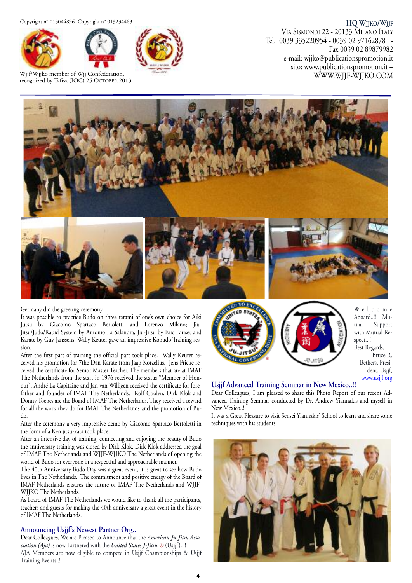Copyright n° 013044896 Copyright n° 013234463





Wjjf/Wjjko member of Wjj Confederation, recognized by Tafisa (IOC) 25 OCTOBER 2013



**HQ WJJKO/WJJF** VIA SISMONDI 22 - 20133 MILANO ITALY Tel. 0039 335220954 - 0039 02 97162878 - Fax 0039 02 89879982 e-mail: wjjko@publicationspromotion.it sito: www.publicationspromotion.it – WWW.WJJF-WJJKO.COM



Germany did the greeting ceremony.

It was possible to practice Budo on three tatami of one's own choice for Aiki Jutsu by Giacomo Spartaco Bertoletti and Lorenzo Milano; Jiu-Jitsu/Judo/Rapid System by Antonio La Salandra; Jiu-Jitsu by Eric Pariset and Karate by Guy Janssens. Wally Keuter gave an impressive Kobudo Training session.

After the first part of training the official part took place. Wally Keuter received his promotion for 7the Dan Karate from Jaap Korzelius. Jens Fricke received the certificate for Senior Master Teacher. The members that are at IMAF The Netherlands from the start in 1976 received the status "Member of Honour". André La Capitaine and Jan van Willigen received the certificate for forefather and founder of IMAF The Netherlands. Rolf Coolen, Dirk Klok and Donny Toebes are the Board of IMAF The Netherlands. They received a reward for all the work they do for IMAF The Netherlands and the promotion of Budo.

After the ceremony a very impressive demo by Giacomo Spartaco Bertoletti in the form of a Ken jitsu-kata took place.

After an intensive day of training, connecting and enjoying the beauty of Budo the anniversary training was closed by Dirk Klok. Dirk Klok addressed the goal of IMAF The Netherlands and WJJF-WJJKO The Netherlands of opening the world of Budo for everyone in a respectful and approachable manner.

The 40th Anniversary Budo Day was a great event, it is great to see how Budo lives in The Netherlands. The commitment and positive energy of the Board of IMAF-Netherlands ensures the future of IMAF The Netherlands and WJJF-WJJKO The Netherlands.

As board of IMAF The Netherlands we would like to thank all the participants, teachers and guests for making the 40th anniversary a great event in the history of IMAF The Netherlands.

#### **Announcing Usjjf's Newest Partner Org..**

Dear Colleagues, We are Pleased to Announce that the *American Ju-Jitsu Association (Aja)* is now Partnered with the *United States J-Jitsu ®* **(Usjjf)**..!! AJA Members are now eligible to compete in Usjjf Championships & Usjjf Training Events..!!



W e l c o m e Aboard..!! Mutual Support with Mutual Respect..!! Best Regards, Bruce R. Bethers, President, Usjjf, www.usjjf.org

#### **Usjjf Advanced Training Seminar in New Mexico..!!**

Dear Colleagues, I am pleased to share this Photo Report of our recent Advanced Training Seminar conducted by Dr. Andrew Yiannakis and myself in New Mexico..!!

It was a Great Pleasure to visit Sensei Yiannakis' School to learn and share some techniques with his students.

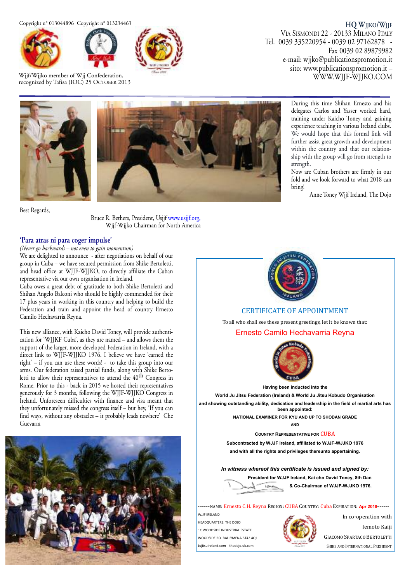Copyright n° 013044896 Copyright n° 013234463





Wjjf/Wjjko member of Wjj Confederation, recognized by Tafisa (IOC) 25 OCTOBER 2013



**HQ WJJKO/WJJF** VIA SISMONDI 22 - 20133 MILANO ITALY Tel. 0039 335220954 - 0039 02 97162878 - Fax 0039 02 89879982 e-mail: wjjko@publicationspromotion.it sito: www.publicationspromotion.it – WWW.WJJF-WJJKO.COM

> During this time Shihan Ernesto and his delegates Carlos and Yasser worked hard, training under Kaicho Toney and gaining experience teaching in various Ireland clubs. We would hope that this formal link will further assist great growth and development within the country and that our relationship with the group will go from strength to

> Now are Cuban brothers are firmly in our fold and we look forward to what 2018 can

> > Anne Toney Wjjf Ireland, The Dojo





Best Regards,

Bruce R. Bethers, President, Usjjf www.usjjf.org, Wjjf-Wjjko Chairman for North America

#### **'Para atras ni para coger impulse'**

*(Never go backwards – not even to gain momentum)* We are delighted to announce - after negotiations on behalf of our group in Cuba – we have secured permission from Shike Bertoletti, and head office at WJJF-WJJKO, to directly affiliate the Cuban representative via our own organisation in Ireland.

Cuba owes a great debt of gratitude to both Shike Bertoletti and Shihan Angelo Balconi who should be highly commended for their 17 plus years in working in this country and helping to build the Federation and train and appoint the head of country Ernesto Camilo Hechavarria Reyna.

This new alliance, with Kaicho David Toney, will provide authentication for 'WJJKF Cuba', as they are named – and allows them the support of the larger, more developed Federation in Ireland, with a direct link to WJJF-WJJKO 1976. I believe we have 'earned the right' – if you can use these words! - to take this group into our arms. Our federation raised partial funds, along with Shike Bertoletti to allow their representatives to attend the 40<sup>th</sup> Congress in Rome. Prior to this - back in 2015 we hosted their representatives generously for 3 months, following the WJJF-WJJKO Congress in Ireland. Unforeseen difficulties with finance and visa meant that they unfortunately missed the congress itself – but hey, 'If you can find ways, without any obstacles – it probably leads nowhere' Che Guevarra





strength.

bring!

**CERTIFICATE OF APPOINTMENT** 

To all who shall see these present greetings, let it be known that:

Ernesto Camilo Hechavarria Reyna



**Having been inducted into the** 

World Ju Jitsu Federation (Ireland) & World Ju Jitsu Kobudo Organisation

and showing outstanding ability, dedication and leadership in the field of martial arts has **been appointed:** 

> **NATIONAL EXAMINER FOR KYU AND UP TO SHODAN GRADE \$1'**

> > **COUNTRY REPRESENTATIVE FOR CUBA**

Subcontracted by WJJF Ireland, affiliated to WJJF-WJJKO 1976 and with all the rights and privileges thereunto appertaining.

In witness whereof this certificate is issued and signed by: President for WJJF Ireland, Kai cho David Toney, 8th Dan

 $I$  (Shallow)  $&$  Co-Chairman of WJJF-WJJKO 1976.

------NAME: Ernesto C.H. Reyna REGION: CUBA COUNTRY: Cuba EXPIRATION: Apr 2018------

WIJE IRELAND HEADOUARTERS: THE DOIO 1C WOODSIDE INDUSTRIAL ESTATE WOODSIDE RO. BALLYMENA BT42 4Q. Jujitsuireland.com thedojo.uk.cor



In co-operation with

**Jemoto Kajij** 

**GIACOMO SPARTACO BERTOLETTI** SHIKE AND INTERNATIONAL PRESIDENT